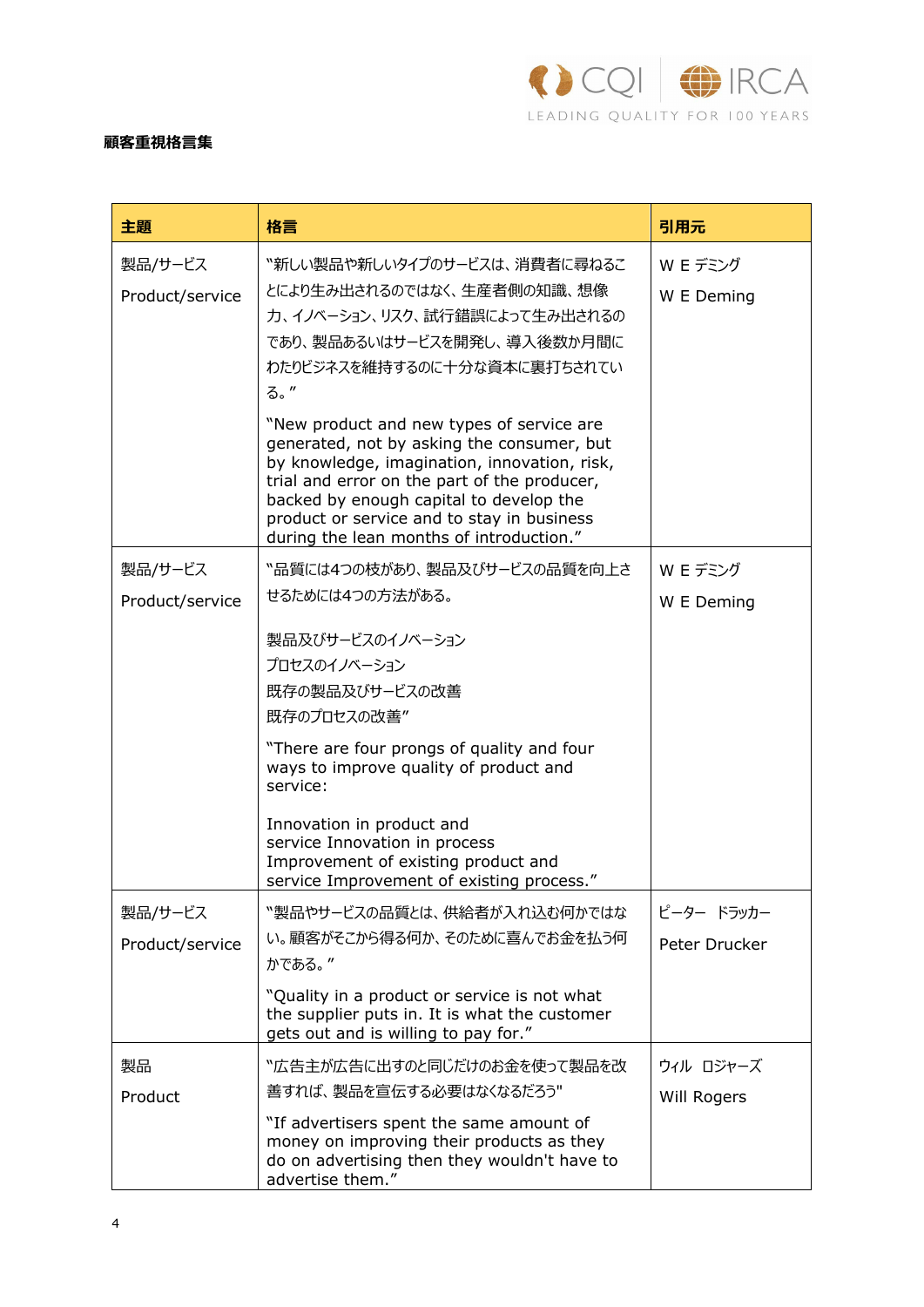

## **顧客重視格⾔集**

| 主題                         | 格言                                                                                                                                                                                                                                                                                                                           | 引用元                    |
|----------------------------|------------------------------------------------------------------------------------------------------------------------------------------------------------------------------------------------------------------------------------------------------------------------------------------------------------------------------|------------------------|
| 製品/サービス<br>Product/service | "新しい製品や新しいタイプのサービスは、消費者に尋ねるこ<br>とにより生み出されるのではなく、生産者側の知識、想像<br>カ、イノベーション、リスク、試行錯誤によって生み出されるの<br>であり、製品あるいはサービスを開発し、導入後数か月間に<br>わたりビジネスを維持するのに十分な資本に裏打ちされてい<br>る。"                                                                                                                                                             | W E デミング<br>W E Deming |
|                            | "New product and new types of service are<br>generated, not by asking the consumer, but<br>by knowledge, imagination, innovation, risk,<br>trial and error on the part of the producer,<br>backed by enough capital to develop the<br>product or service and to stay in business<br>during the lean months of introduction." |                        |
| 製品/サービス                    | "品質には4つの枝があり、製品及びサービスの品質を向上さ                                                                                                                                                                                                                                                                                                 | W E デミング               |
| Product/service            | せるためには4つの方法がある。                                                                                                                                                                                                                                                                                                              | W E Deming             |
|                            | 製品及びサービスのイノベーション<br>プロセスのイノベーション<br>既存の製品及びサービスの改善<br>既存のプロセスの改善"<br>"There are four prongs of quality and four<br>ways to improve quality of product and<br>service:<br>Innovation in product and<br>service Innovation in process<br>Improvement of existing product and<br>service Improvement of existing process."      |                        |
| 製品/サービス                    | "製品やサービスの品質とは、供給者が入れ込む何かではな                                                                                                                                                                                                                                                                                                  | ピーター ドラッカー             |
| Product/service            | い。顧客がそこから得る何か、そのために喜んでお金を払う何<br>かである。"                                                                                                                                                                                                                                                                                       | Peter Drucker          |
|                            | "Quality in a product or service is not what<br>the supplier puts in. It is what the customer<br>gets out and is willing to pay for."                                                                                                                                                                                        |                        |
| 製品                         | "広告主が広告に出すのと同じだけのお金を使って製品を改                                                                                                                                                                                                                                                                                                  | ウィル ロジャーズ              |
| Product                    | 善すれば、製品を宣伝する必要はなくなるだろう"                                                                                                                                                                                                                                                                                                      | Will Rogers            |
|                            | "If advertisers spent the same amount of<br>money on improving their products as they<br>do on advertising then they wouldn't have to<br>advertise them."                                                                                                                                                                    |                        |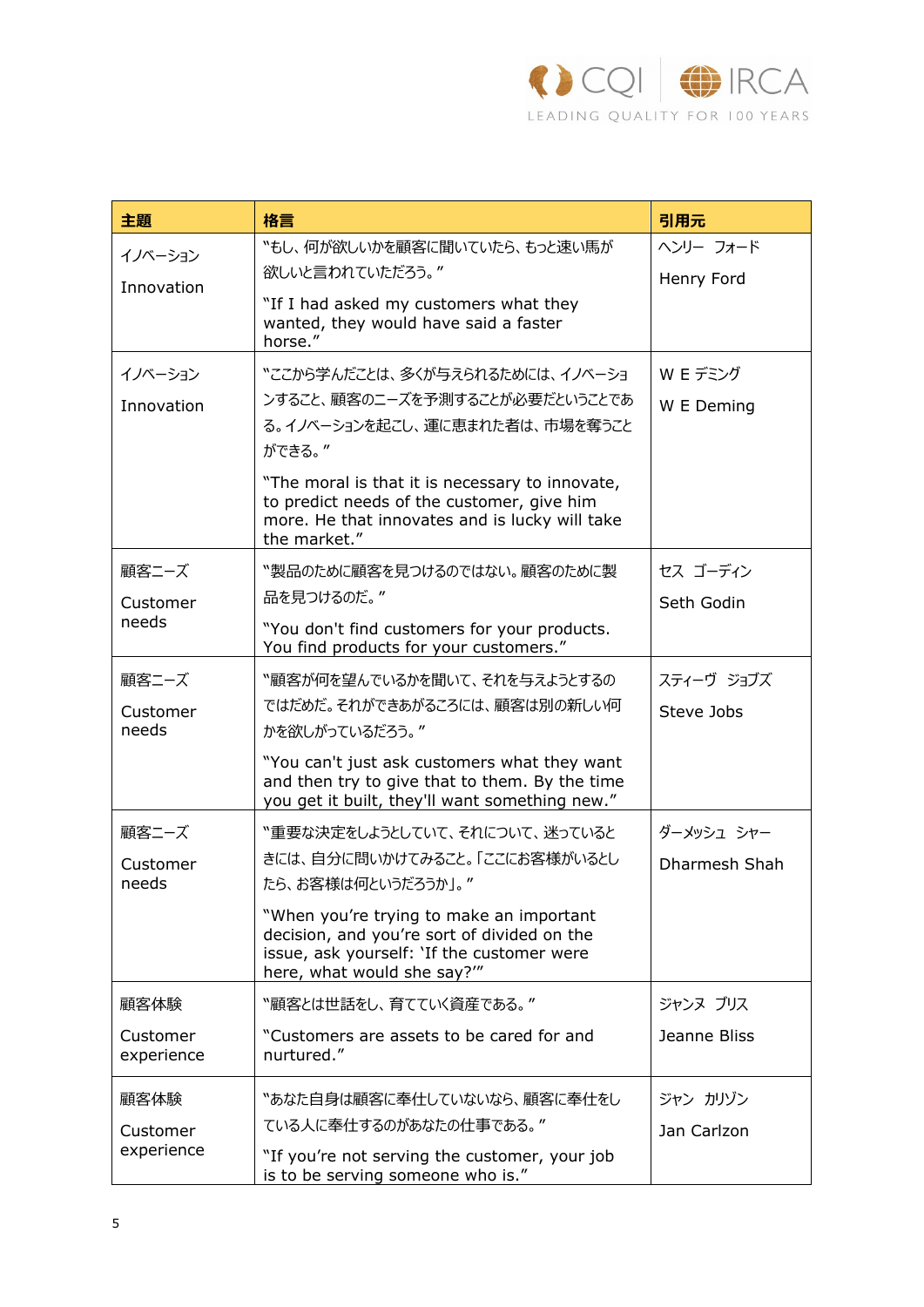

| 主題                     | 格言                                                                                                                                                                   | 引用元           |
|------------------------|----------------------------------------------------------------------------------------------------------------------------------------------------------------------|---------------|
| イノベーション<br>Innovation  | "もし、何が欲しいかを顧客に聞いていたら、もっと速い馬が                                                                                                                                         | ヘンリー フォード     |
|                        | 欲しいと言われていただろう。"                                                                                                                                                      | Henry Ford    |
|                        | "If I had asked my customers what they<br>wanted, they would have said a faster<br>horse."                                                                           |               |
| イノベーション                | 〝ここから学んだことは、多くが与えられるためには、イノベーショ                                                                                                                                      | W E デミング      |
| Innovation             | ンすること、顧客のニーズを予測することが必要だということであ                                                                                                                                       | W E Deming    |
|                        | る。イノベーションを起こし、運に恵まれた者は、市場を奪うこと<br>ができる。"                                                                                                                             |               |
|                        | "The moral is that it is necessary to innovate,<br>to predict needs of the customer, give him<br>more. He that innovates and is lucky will take<br>the market."      |               |
| 顧客ニーズ                  | "製品のために顧客を見つけるのではない。顧客のために製                                                                                                                                          | セス ゴーディン      |
| Customer               | 品を見つけるのだ。"                                                                                                                                                           | Seth Godin    |
| needs                  | "You don't find customers for your products.<br>You find products for your customers."                                                                               |               |
| 顧客ニーズ                  | 〝顧客が何を望んでいるかを聞いて、それを与えようとするの                                                                                                                                         | スティーヴ ジョブズ    |
| Customer               | ではだめだ。それができあがるころには、顧客は別の新しい何                                                                                                                                         | Steve Jobs    |
| needs                  | かを欲しがっているだろう。"                                                                                                                                                       |               |
|                        | "You can't just ask customers what they want<br>and then try to give that to them. By the time<br>you get it built, they'll want something new."                     |               |
| 顧客ニーズ                  | "重要な決定をしようとしていて、それについて、迷っていると                                                                                                                                        | ダーメッシュ シャー    |
| Customer<br>needs      | きには、自分に問いかけてみること。「ここにお客様がいるとし<br>たら、お客様は何というだろうか」。"                                                                                                                  | Dharmesh Shah |
|                        | "When you're trying to make an important<br>decision, and you're sort of divided on the<br>issue, ask yourself: 'If the customer were<br>here, what would she say?"" |               |
| 顧客体験                   | "顧客とは世話をし、育てていく資産である。"                                                                                                                                               | ジャンヌ ブリス      |
| Customer<br>experience | "Customers are assets to be cared for and<br>nurtured."                                                                                                              | Jeanne Bliss  |
| 顧客体験                   | 〝あなた自身は顧客に奉仕していないなら、顧客に奉仕をし                                                                                                                                          | ジャン カリゾン      |
| Customer               | ている人に奉仕するのがあなたの仕事である。"                                                                                                                                               | Jan Carlzon   |
| experience             | "If you're not serving the customer, your job<br>is to be serving someone who is."                                                                                   |               |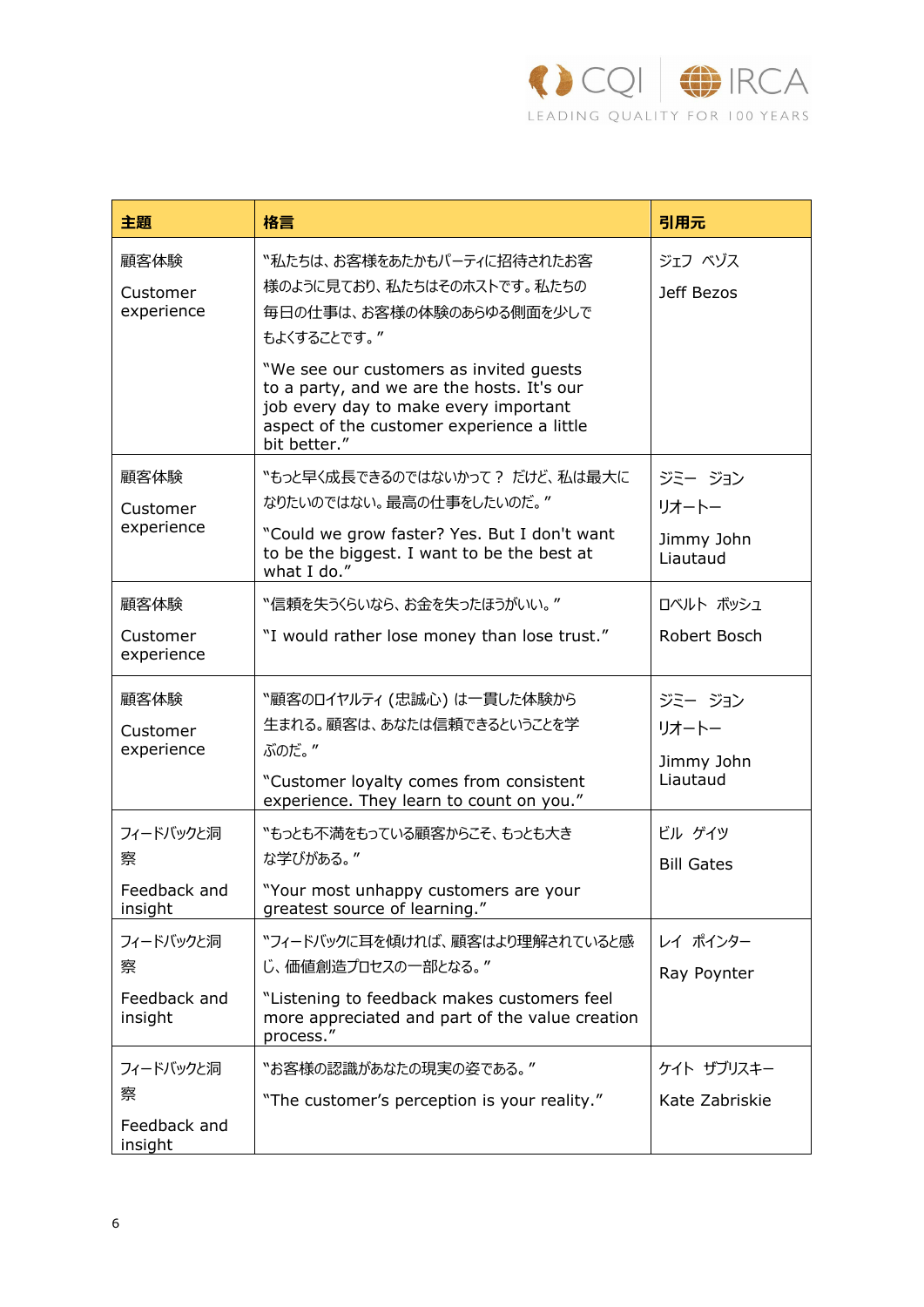

| 主題                                        | 格言                                                                                                                                                                                                                                                                                                  | 引用元                                       |
|-------------------------------------------|-----------------------------------------------------------------------------------------------------------------------------------------------------------------------------------------------------------------------------------------------------------------------------------------------------|-------------------------------------------|
| 顧客体験<br>Customer<br>experience            | "私たちは、お客様をあたかもパーティに招待されたお客<br>様のように見ており、私たちはそのホストです。私たちの<br>毎日の仕事は、お客様の体験のあらゆる側面を少しで<br>もよくすることです。"<br>"We see our customers as invited guests<br>to a party, and we are the hosts. It's our<br>job every day to make every important<br>aspect of the customer experience a little<br>bit better." | ジェフ ベゾス<br>Jeff Bezos                     |
| 顧客体験<br>Customer<br>experience            | "もっと早く成長できるのではないかって? だけど、私は最大に<br>なりたいのではない。最高の仕事をしたいのだ。"<br>"Could we grow faster? Yes. But I don't want<br>to be the biggest. I want to be the best at<br>what I do."                                                                                                                             | ジミージョン<br>リオートー<br>Jimmy John<br>Liautaud |
| 顧客体験<br>Customer<br>experience            | "信頼を失うくらいなら、お金を失ったほうがいい。"<br>"I would rather lose money than lose trust."                                                                                                                                                                                                                           | ロベルト ボッシュ<br>Robert Bosch                 |
| 顧客体験<br>Customer<br>experience            | "顧客のロイヤルティ (忠誠心) は一貫した体験から<br>生まれる。顧客は、あなたは信頼できるということを学<br>ぶのだ。"<br>"Customer loyalty comes from consistent<br>experience. They learn to count on you."                                                                                                                                             | ジミージョン<br>リオートー<br>Jimmy John<br>Liautaud |
| フィードバックと洞<br>察<br>Feedback and<br>insight | "もっとも不満をもっている顧客からこそ、もっとも大き<br>な学びがある。"<br>"Your most unhappy customers are your<br>greatest source of learning."                                                                                                                                                                                    | ビル ゲイツ<br><b>Bill Gates</b>               |
| フィードバックと洞<br>察<br>Feedback and<br>insight | "フィードバックに耳を傾ければ、顧客はより理解されていると感<br>じ、価値創造プロセスの一部となる。"<br>"Listening to feedback makes customers feel<br>more appreciated and part of the value creation<br>process."                                                                                                                                 | レイ ポインター<br>Ray Poynter                   |
| フィードバックと洞<br>察<br>Feedback and<br>insight | 〝お客様の認識があなたの現実の姿である。″<br>"The customer's perception is your reality."                                                                                                                                                                                                                               | ケイト ザブリスキー<br>Kate Zabriskie              |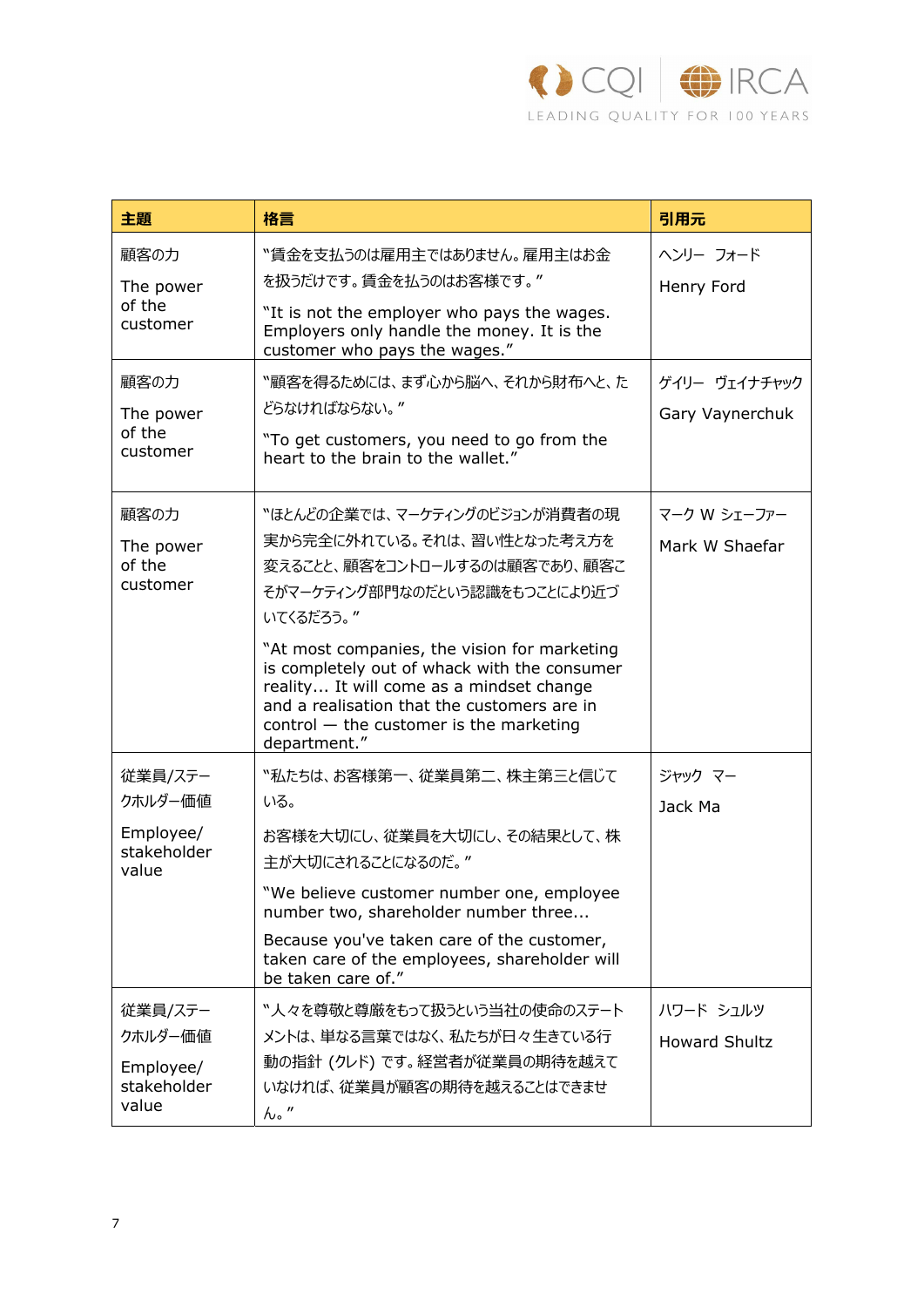

| 主題                                                      | 格言                                                                                                                                                                                                                                                                                                                                                                                                  | 引用元                                      |
|---------------------------------------------------------|-----------------------------------------------------------------------------------------------------------------------------------------------------------------------------------------------------------------------------------------------------------------------------------------------------------------------------------------------------------------------------------------------------|------------------------------------------|
| 顧客の力<br>The power<br>of the<br>customer<br>顧客の力         | 〝賃金を支払うのは雇用主ではありません。雇用主はお金<br>を扱うだけです。賃金を払うのはお客様です。"<br>"It is not the employer who pays the wages.<br>Employers only handle the money. It is the<br>customer who pays the wages."<br>〝顧客を得るためには、まず心から脳へ、それから財布へと、た                                                                                                                                                                                 | ヘンリー フォード<br>Henry Ford<br>ゲイリー ヴェイナチャック |
| The power<br>of the<br>customer                         | どらなければならない。"<br>"To get customers, you need to go from the<br>heart to the brain to the wallet."                                                                                                                                                                                                                                                                                                    | Gary Vaynerchuk                          |
| 顧客の力<br>The power<br>of the<br>customer                 | 〝ほとんどの企業では、マーケティングのビジョンが消費者の現<br>実から完全に外れている。それは、習い性となった考え方を<br>変えることと、顧客をコントロールするのは顧客であり、顧客こ<br>そがマーケティング部門なのだという認識をもつことにより近づ<br>いてくるだろう。"<br>"At most companies, the vision for marketing<br>is completely out of whack with the consumer<br>reality It will come as a mindset change<br>and a realisation that the customers are in<br>$control$ – the customer is the marketing<br>department." | マーク W シェーファー<br>Mark W Shaefar           |
| 従業員/ステー<br>クホルダー価値<br>Employee/<br>stakeholder<br>value | "私たちは、お客様第一、従業員第二、株主第三と信じて<br>いる。<br>お客様を大切にし、従業員を大切にし、その結果として、株<br>主が大切にされることになるのだ。"<br>"We believe customer number one, employee<br>number two, shareholder number three<br>Because you've taken care of the customer,<br>taken care of the employees, shareholder will<br>be taken care of."                                                                                                     | ジャック マー<br>Jack Ma                       |
| 従業員/ステー<br>クホルダー価値<br>Employee/<br>stakeholder<br>value | "人々を尊敬と尊厳をもって扱うという当社の使命のステート<br>メントは、単なる言葉ではなく、私たちが日々生きている行<br>動の指針 (クレド) です。経営者が従業員の期待を越えて<br>いなければ、従業員が顧客の期待を越えることはできませ<br>$h \cdot$ "                                                                                                                                                                                                                                                            | ハワード シュルツ<br><b>Howard Shultz</b>        |